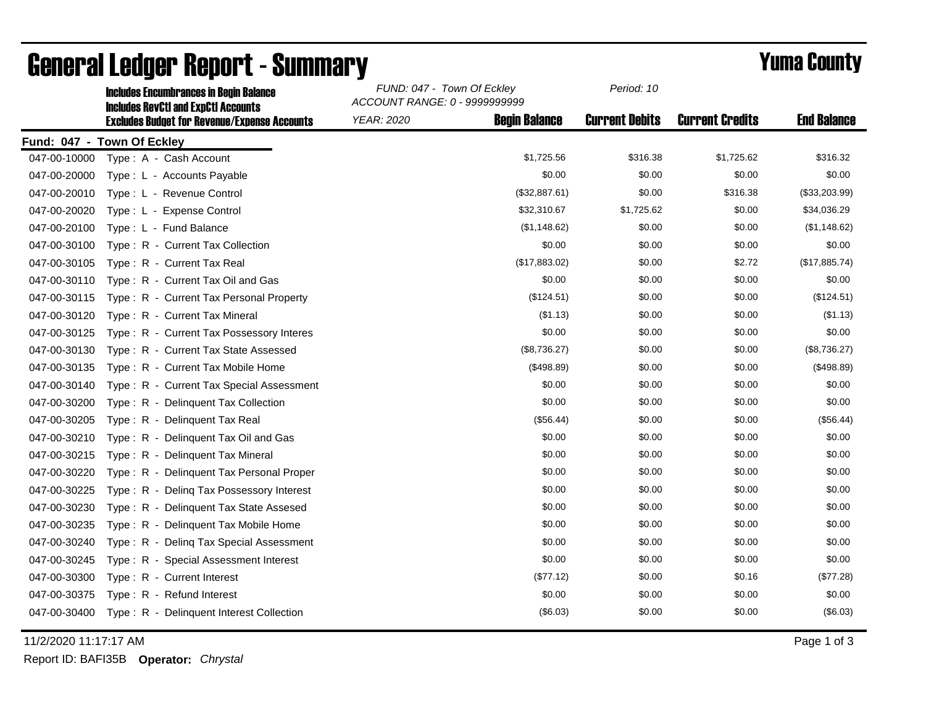|              | <b>Includes Encumbrances in Begin Balance</b><br><b>Includes RevCtI and ExpCtI Accounts</b> | FUND: 047 - Town Of Eckley<br>ACCOUNT RANGE: 0 - 9999999999 |                      | Period: 10            |                        |                    |
|--------------|---------------------------------------------------------------------------------------------|-------------------------------------------------------------|----------------------|-----------------------|------------------------|--------------------|
|              | <b>Excludes Budget for Revenue/Expense Accounts</b>                                         | <b>YEAR: 2020</b>                                           | <b>Begin Balance</b> | <b>Current Debits</b> | <b>Current Credits</b> | <b>End Balance</b> |
|              | Fund: 047 - Town Of Eckley                                                                  |                                                             |                      |                       |                        |                    |
| 047-00-10000 | Type: A - Cash Account                                                                      |                                                             | \$1,725.56           | \$316.38              | \$1,725.62             | \$316.32           |
| 047-00-20000 | Type: L - Accounts Payable                                                                  |                                                             | \$0.00               | \$0.00                | \$0.00                 | \$0.00             |
| 047-00-20010 | Type: L - Revenue Control                                                                   |                                                             | (\$32,887.61)        | \$0.00                | \$316.38               | (\$33,203.99)      |
| 047-00-20020 | Type: L - Expense Control                                                                   |                                                             | \$32,310.67          | \$1,725.62            | \$0.00                 | \$34,036.29        |
| 047-00-20100 | Type: L - Fund Balance                                                                      |                                                             | (\$1,148.62)         | \$0.00                | \$0.00                 | (\$1,148.62)       |
| 047-00-30100 | Type: R - Current Tax Collection                                                            |                                                             | \$0.00               | \$0.00                | \$0.00                 | \$0.00             |
| 047-00-30105 | Type: R - Current Tax Real                                                                  |                                                             | (\$17,883.02)        | \$0.00                | \$2.72                 | (\$17,885.74)      |
| 047-00-30110 | Type: R - Current Tax Oil and Gas                                                           |                                                             | \$0.00               | \$0.00                | \$0.00                 | \$0.00             |
| 047-00-30115 | Type: R - Current Tax Personal Property                                                     |                                                             | (\$124.51)           | \$0.00                | \$0.00                 | (\$124.51)         |
| 047-00-30120 | Type: R - Current Tax Mineral                                                               |                                                             | (\$1.13)             | \$0.00                | \$0.00                 | ( \$1.13)          |
| 047-00-30125 | Type: R - Current Tax Possessory Interes                                                    |                                                             | \$0.00               | \$0.00                | \$0.00                 | \$0.00             |
| 047-00-30130 | Type: R - Current Tax State Assessed                                                        |                                                             | (\$8,736.27)         | \$0.00                | \$0.00                 | (\$8,736.27)       |
| 047-00-30135 | Type: R - Current Tax Mobile Home                                                           |                                                             | (\$498.89)           | \$0.00                | \$0.00                 | (\$498.89)         |
| 047-00-30140 | Type: R - Current Tax Special Assessment                                                    |                                                             | \$0.00               | \$0.00                | \$0.00                 | \$0.00             |
| 047-00-30200 | Type: R - Delinquent Tax Collection                                                         |                                                             | \$0.00               | \$0.00                | \$0.00                 | \$0.00             |
| 047-00-30205 | Type: R - Delinguent Tax Real                                                               |                                                             | (\$56.44)            | \$0.00                | \$0.00                 | (\$56.44)          |
| 047-00-30210 | Type: R - Delinquent Tax Oil and Gas                                                        |                                                             | \$0.00               | \$0.00                | \$0.00                 | \$0.00             |
| 047-00-30215 | Type: R - Delinquent Tax Mineral                                                            |                                                             | \$0.00               | \$0.00                | \$0.00                 | \$0.00             |
| 047-00-30220 | Type: R - Delinquent Tax Personal Proper                                                    |                                                             | \$0.00               | \$0.00                | \$0.00                 | \$0.00             |
| 047-00-30225 | Type: R - Deling Tax Possessory Interest                                                    |                                                             | \$0.00               | \$0.00                | \$0.00                 | \$0.00             |
| 047-00-30230 | Type: R - Delinquent Tax State Assesed                                                      |                                                             | \$0.00               | \$0.00                | \$0.00                 | \$0.00             |
| 047-00-30235 | Type: R - Delinquent Tax Mobile Home                                                        |                                                             | \$0.00               | \$0.00                | \$0.00                 | \$0.00             |
| 047-00-30240 | Type: R - Deling Tax Special Assessment                                                     |                                                             | \$0.00               | \$0.00                | \$0.00                 | \$0.00             |
| 047-00-30245 | Type: R - Special Assessment Interest                                                       |                                                             | \$0.00               | \$0.00                | \$0.00                 | \$0.00             |
| 047-00-30300 | Type: R - Current Interest                                                                  |                                                             | (\$77.12)            | \$0.00                | \$0.16                 | (\$77.28)          |
| 047-00-30375 | Type: R - Refund Interest                                                                   |                                                             | \$0.00               | \$0.00                | \$0.00                 | \$0.00             |
| 047-00-30400 | Type: R - Delinquent Interest Collection                                                    |                                                             | (\$6.03)             | \$0.00                | \$0.00                 | (\$6.03)           |

## General Ledger Report - Summary **Example 2018** Yuma County

11/2/2020 11:17:17 AM Page 1 of 3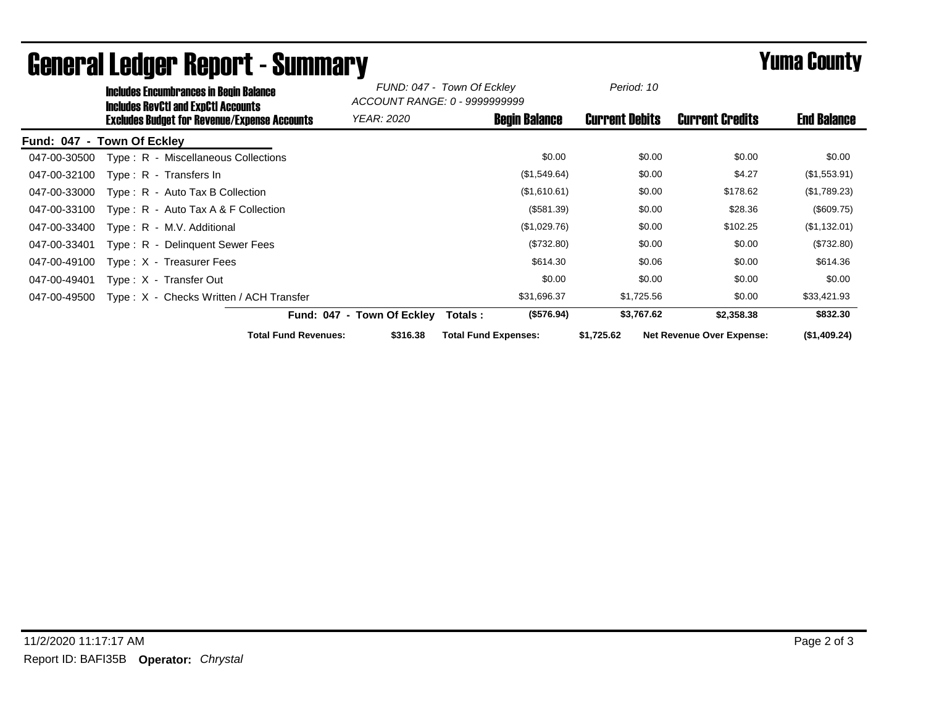|              | <b>Includes Encumbrances in Begin Balance</b><br><b>Includes RevCtI and ExpCtI Accounts</b><br><b>Excludes Budget for Revenue/Expense Accounts</b> |                             | FUND: 047 - Town Of Eckley<br>ACCOUNT RANGE: 0 - 9999999999 |                             | Period: 10   |                       |                                  |                    |
|--------------|----------------------------------------------------------------------------------------------------------------------------------------------------|-----------------------------|-------------------------------------------------------------|-----------------------------|--------------|-----------------------|----------------------------------|--------------------|
|              |                                                                                                                                                    |                             | YEAR: 2020                                                  | <b>Begin Balance</b>        |              | <b>Current Debits</b> | <b>Current Credits</b>           | <b>End Balance</b> |
|              | Fund: 047 - Town Of Eckley                                                                                                                         |                             |                                                             |                             |              |                       |                                  |                    |
| 047-00-30500 | Type: R - Miscellaneous Collections                                                                                                                |                             |                                                             |                             | \$0.00       | \$0.00                | \$0.00                           | \$0.00             |
| 047-00-32100 | Type: R - Transfers In                                                                                                                             |                             |                                                             |                             | (\$1,549.64) | \$0.00                | \$4.27                           | (\$1,553.91)       |
| 047-00-33000 | $Type: R - Auto Tax B Collection$                                                                                                                  |                             |                                                             |                             | (\$1,610.61) | \$0.00                | \$178.62                         | (\$1,789.23)       |
| 047-00-33100 | Type: R - Auto Tax A & F Collection                                                                                                                |                             |                                                             |                             | (\$581.39)   | \$0.00                | \$28.36                          | (\$609.75)         |
| 047-00-33400 | Type: R - M.V. Additional                                                                                                                          |                             |                                                             |                             | (\$1,029.76) | \$0.00                | \$102.25                         | (\$1,132.01)       |
| 047-00-33401 | Type: R - Delinguent Sewer Fees                                                                                                                    |                             |                                                             |                             | (\$732.80)   | \$0.00                | \$0.00                           | (\$732.80)         |
| 047-00-49100 | Type: X - Treasurer Fees                                                                                                                           |                             |                                                             |                             | \$614.30     | \$0.06                | \$0.00                           | \$614.36           |
| 047-00-49401 | Type: X - Transfer Out                                                                                                                             |                             |                                                             |                             | \$0.00       | \$0.00                | \$0.00                           | \$0.00             |
| 047-00-49500 | Type: X - Checks Written / ACH Transfer                                                                                                            |                             |                                                             |                             | \$31,696.37  | \$1,725.56            | \$0.00                           | \$33,421.93        |
|              |                                                                                                                                                    | Fund: 047 - Town Of Eckley  |                                                             | Totals :                    | (\$576.94)   | \$3,767.62            | \$2,358.38                       | \$832.30           |
|              |                                                                                                                                                    | <b>Total Fund Revenues:</b> | \$316.38                                                    | <b>Total Fund Expenses:</b> |              | \$1,725.62            | <b>Net Revenue Over Expense:</b> | (\$1,409.24)       |

## General Ledger Report - Summary **Example 2018** Yuma County